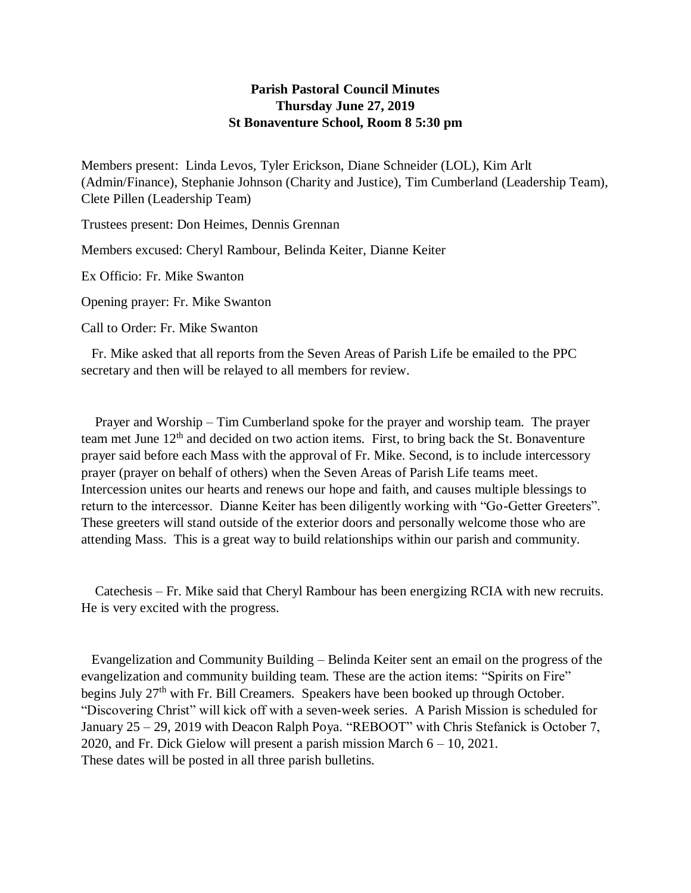## **Parish Pastoral Council Minutes Thursday June 27, 2019 St Bonaventure School, Room 8 5:30 pm**

Members present: Linda Levos, Tyler Erickson, Diane Schneider (LOL), Kim Arlt (Admin/Finance), Stephanie Johnson (Charity and Justice), Tim Cumberland (Leadership Team), Clete Pillen (Leadership Team)

Trustees present: Don Heimes, Dennis Grennan

Members excused: Cheryl Rambour, Belinda Keiter, Dianne Keiter

Ex Officio: Fr. Mike Swanton

Opening prayer: Fr. Mike Swanton

Call to Order: Fr. Mike Swanton

 Fr. Mike asked that all reports from the Seven Areas of Parish Life be emailed to the PPC secretary and then will be relayed to all members for review.

 Prayer and Worship – Tim Cumberland spoke for the prayer and worship team. The prayer team met June 12<sup>th</sup> and decided on two action items. First, to bring back the St. Bonaventure prayer said before each Mass with the approval of Fr. Mike. Second, is to include intercessory prayer (prayer on behalf of others) when the Seven Areas of Parish Life teams meet. Intercession unites our hearts and renews our hope and faith, and causes multiple blessings to return to the intercessor. Dianne Keiter has been diligently working with "Go-Getter Greeters". These greeters will stand outside of the exterior doors and personally welcome those who are attending Mass. This is a great way to build relationships within our parish and community.

 Catechesis – Fr. Mike said that Cheryl Rambour has been energizing RCIA with new recruits. He is very excited with the progress.

 Evangelization and Community Building – Belinda Keiter sent an email on the progress of the evangelization and community building team. These are the action items: "Spirits on Fire" begins July 27<sup>th</sup> with Fr. Bill Creamers. Speakers have been booked up through October. "Discovering Christ" will kick off with a seven-week series. A Parish Mission is scheduled for January 25 – 29, 2019 with Deacon Ralph Poya. "REBOOT" with Chris Stefanick is October 7, 2020, and Fr. Dick Gielow will present a parish mission March 6 – 10, 2021. These dates will be posted in all three parish bulletins.